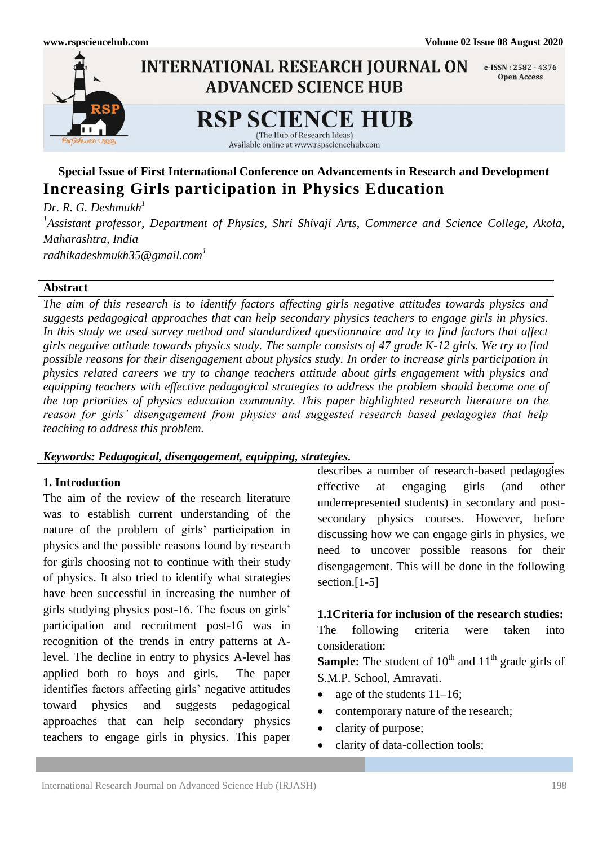

# **Special Issue of First International Conference on Advancements in Research and Development Increasing Girls participation in Physics Education**

*Dr. R. G. Deshmukh<sup>1</sup> 1 Assistant professor, Department of Physics, Shri Shivaji Arts, Commerce and Science College, Akola, Maharashtra, India [radhikadeshmukh35@gmail.com](mailto:radhikadeshmukh35@gmail.com1)<sup>1</sup>*

#### **Abstract**

*The aim of this research is to identify factors affecting girls negative attitudes towards physics and suggests pedagogical approaches that can help secondary physics teachers to engage girls in physics. In this study we used survey method and standardized questionnaire and try to find factors that affect girls negative attitude towards physics study. The sample consists of 47 grade K-12 girls. We try to find possible reasons for their disengagement about physics study. In order to increase girls participation in physics related careers we try to change teachers attitude about girls engagement with physics and equipping teachers with effective pedagogical strategies to address the problem should become one of the top priorities of physics education community. This paper highlighted research literature on the reason for girls' disengagement from physics and suggested research based pedagogies that help teaching to address this problem.*

### *Keywords: Pedagogical, disengagement, equipping, strategies.*

## **1. Introduction**

The aim of the review of the research literature was to establish current understanding of the nature of the problem of girls' participation in physics and the possible reasons found by research for girls choosing not to continue with their study of physics. It also tried to identify what strategies have been successful in increasing the number of girls studying physics post-16. The focus on girls' participation and recruitment post-16 was in recognition of the trends in entry patterns at Alevel. The decline in entry to physics A-level has applied both to boys and girls. The paper identifies factors affecting girls' negative attitudes toward physics and suggests pedagogical approaches that can help secondary physics teachers to engage girls in physics. This paper

describes a number of research-based pedagogies effective at engaging girls (and other underrepresented students) in secondary and postsecondary physics courses. However, before discussing how we can engage girls in physics, we need to uncover possible reasons for their disengagement. This will be done in the following section.<sup>[1-5]</sup>

**1.1Criteria for inclusion of the research studies:** The following criteria were taken into consideration:

**Sample:** The student of  $10<sup>th</sup>$  and  $11<sup>th</sup>$  grade girls of S.M.P. School, Amravati.

- age of the students 11–16;
- contemporary nature of the research;
- clarity of purpose;
- clarity of data-collection tools;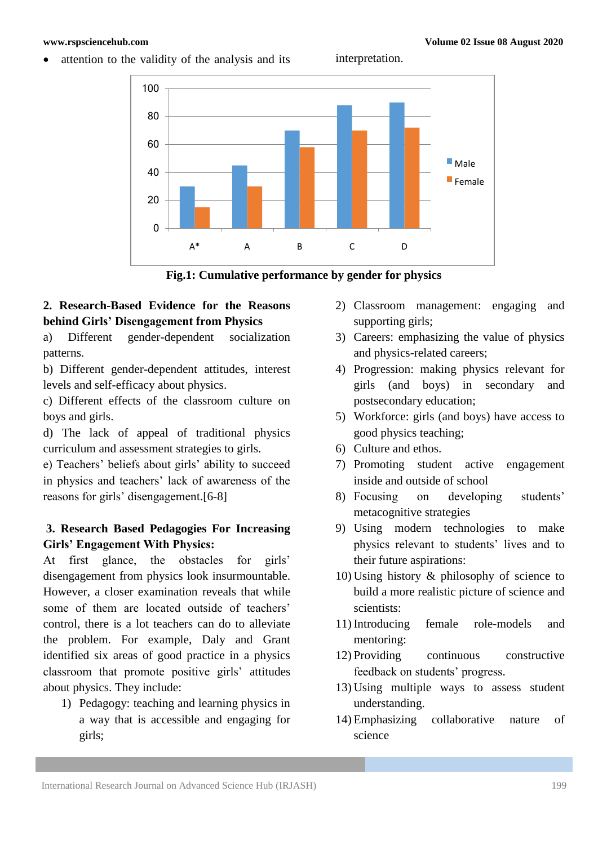**www.rspsciencehub.com Volume 02 Issue 08 August 2020**







## **2. Research-Based Evidence for the Reasons behind Girls' Disengagement from Physics**

a) Different gender-dependent socialization patterns.

b) Different gender-dependent attitudes, interest levels and self-efficacy about physics.

c) Different effects of the classroom culture on boys and girls.

d) The lack of appeal of traditional physics curriculum and assessment strategies to girls.

e) Teachers' beliefs about girls' ability to succeed in physics and teachers' lack of awareness of the reasons for girls' disengagement.[6-8]

## **3. Research Based Pedagogies For Increasing Girls' Engagement With Physics:**

At first glance, the obstacles for girls' disengagement from physics look insurmountable. However, a closer examination reveals that while some of them are located outside of teachers' control, there is a lot teachers can do to alleviate the problem. For example, Daly and Grant identified six areas of good practice in a physics classroom that promote positive girls' attitudes about physics. They include:

1) Pedagogy: teaching and learning physics in a way that is accessible and engaging for girls;

- 2) Classroom management: engaging and supporting girls;
- 3) Careers: emphasizing the value of physics and physics-related careers;
- 4) Progression: making physics relevant for girls (and boys) in secondary and postsecondary education;
- 5) Workforce: girls (and boys) have access to good physics teaching;
- 6) Culture and ethos.
- 7) Promoting student active engagement inside and outside of school
- 8) Focusing on developing students' metacognitive strategies
- 9) Using modern technologies to make physics relevant to students' lives and to their future aspirations:
- 10) Using history & philosophy of science to build a more realistic picture of science and scientists:
- 11) Introducing female role-models and mentoring:
- 12) Providing continuous constructive feedback on students' progress.
- 13) Using multiple ways to assess student understanding.
- 14) Emphasizing collaborative nature of science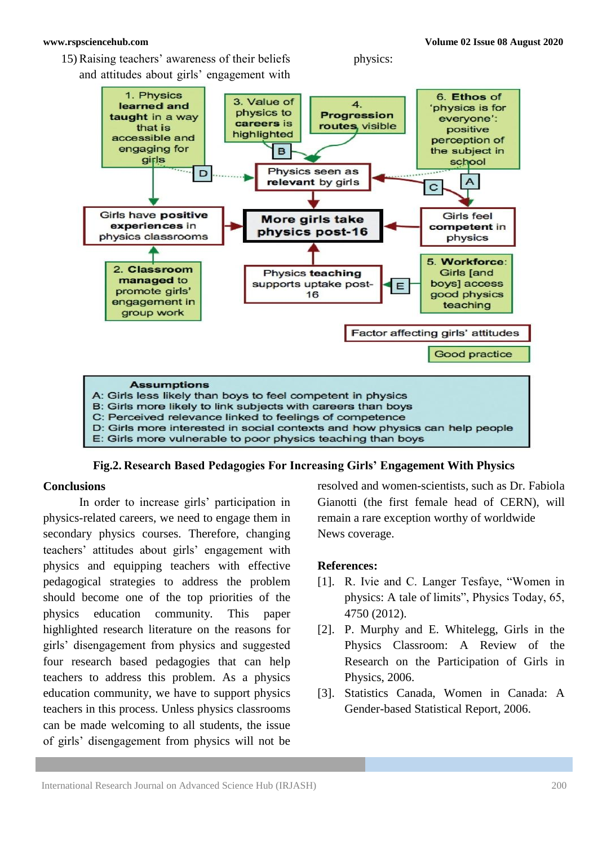**www.rspsciencehub.com Volume 02 Issue 08 August 2020**

15) Raising teachers' awareness of their beliefs and attitudes about girls' engagement with physics:



**Fig.2. Research Based Pedagogies For Increasing Girls' Engagement With Physics**

### **Conclusions**

In order to increase girls' participation in physics-related careers, we need to engage them in secondary physics courses. Therefore, changing teachers' attitudes about girls' engagement with physics and equipping teachers with effective pedagogical strategies to address the problem should become one of the top priorities of the physics education community. This paper highlighted research literature on the reasons for girls' disengagement from physics and suggested four research based pedagogies that can help teachers to address this problem. As a physics education community, we have to support physics teachers in this process. Unless physics classrooms can be made welcoming to all students, the issue of girls' disengagement from physics will not be

resolved and women-scientists, such as Dr. Fabiola Gianotti (the first female head of CERN), will remain a rare exception worthy of worldwide News coverage.

## **References:**

- [1]. R. Ivie and C. Langer Tesfaye, "Women in physics: A tale of limits", Physics Today, 65, 4750 (2012).
- [2]. P. Murphy and E. Whitelegg, Girls in the Physics Classroom: A Review of the Research on the Participation of Girls in Physics, 2006.
- [3]. Statistics Canada, Women in Canada: A Gender-based Statistical Report, 2006.